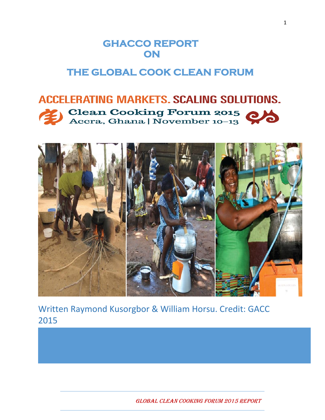# **GHACCO REPORT ON**

# **THE GLOBAL COOK CLEAN FORUM**

# **ACCELERATING MARKETS. SCALING SOLUTIONS. Clean Cooking Forum 2015** Accra, Ghana | November 10-13



Written Raymond Kusorgbor & William Horsu. Credit: GACC 2015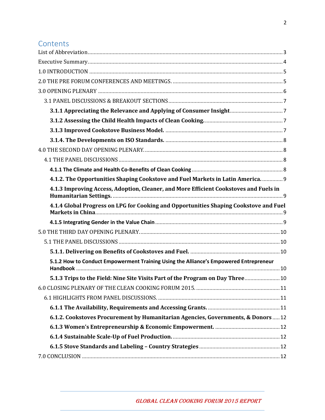## **Contents**

| 4.1.2. The Opportunities Shaping Cookstove and Fuel Markets in Latin America.  9      |  |
|---------------------------------------------------------------------------------------|--|
| 4.1.3 Improving Access, Adoption, Cleaner, and More Efficient Cookstoves and Fuels in |  |
| 4.1.4 Global Progress on LPG for Cooking and Opportunities Shaping Cookstove and Fuel |  |
|                                                                                       |  |
|                                                                                       |  |
|                                                                                       |  |
|                                                                                       |  |
|                                                                                       |  |
| 5.1.2 How to Conduct Empowerment Training Using the Alliance's Empowered Entrepreneur |  |
| 5.1.3 Trips to the Field: Nine Site Visits Part of the Program on Day Three 10        |  |
|                                                                                       |  |
|                                                                                       |  |
|                                                                                       |  |
| 6.1.2. Cookstoves Procurement by Humanitarian Agencies, Governments, & Donors12       |  |
|                                                                                       |  |
|                                                                                       |  |
|                                                                                       |  |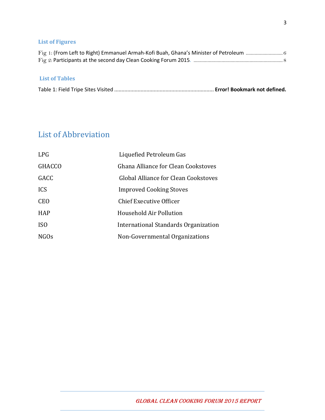#### **List of Figures**

#### **List of Tables**

|--|--|--|

# <span id="page-2-0"></span>List of Abbreviation

<span id="page-2-1"></span>

| <b>LPG</b>      | Liquefied Petroleum Gas              |
|-----------------|--------------------------------------|
| <b>GHACCO</b>   | Ghana Alliance for Clean Cookstoves  |
| GACC            | Global Alliance for Clean Cookstoves |
| <b>ICS</b>      | <b>Improved Cooking Stoves</b>       |
| <b>CEO</b>      | <b>Chief Executive Officer</b>       |
| <b>HAP</b>      | Household Air Pollution              |
| IS <sub>0</sub> | International Standards Organization |
| <b>NGOs</b>     | Non-Governmental Organizations       |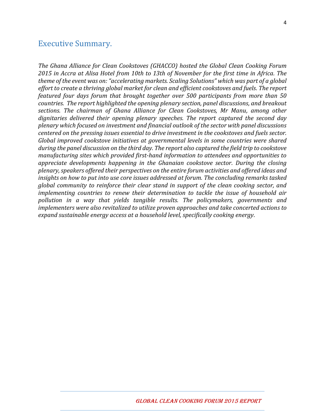## Executive Summary.

*The Ghana Alliance for Clean Cookstoves (GHACCO) hosted the Global Clean Cooking Forum 2015 in Accra at Alisa Hotel from 10th to 13th of November for the first time in Africa. The theme of the event was on: "accelerating markets. Scaling Solutions" which was part of a global effort to create a thriving global market for clean and efficient cookstoves and fuels. The report featured four days forum that brought together over 500 participants from more than 50 countries. The report highlighted the opening plenary section, panel discussions, and breakout sections. The chairman of Ghana Alliance for Clean Cookstoves, Mr Manu, among other dignitaries delivered their opening plenary speeches. The report captured the second day plenary which focused on investment and financial outlook of the sector with panel discussions centered on the pressing issues essential to drive investment in the cookstoves and fuels sector. Global improved cookstove initiatives at governmental levels in some countries were shared during the panel discussion on the third day. The report also captured the field trip to cookstove manufacturing sites which provided first-hand information to attendees and opportunities to appreciate developments happening in the Ghanaian cookstove sector. During the closing plenary, speakers offered their perspectives on the entire forum activities and offered ideas and insights on how to put into use core issues addressed at forum. The concluding remarks tasked global community to reinforce their clear stand in support of the clean cooking sector, and implementing countries to renew their determination to tackle the issue of household air pollution in a way that yields tangible results. The policymakers, governments and implementers were also revitalized to utilize proven approaches and take concerted actions to expand sustainable energy access at a household level, specifically cooking energy.*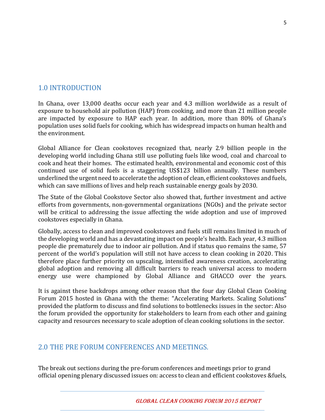## <span id="page-4-0"></span>1.0 INTRODUCTION

In Ghana, over 13,000 deaths occur each year and 4.3 million worldwide as a result of exposure to household air pollution (HAP) from cooking, and more than 21 million people are impacted by exposure to HAP each year. In addition, more than 80% of Ghana's population uses solid fuels for cooking, which has widespread impacts on human health and the environment.

Global Alliance for Clean cookstoves recognized that, nearly 2.9 billion people in the developing world including Ghana still use polluting fuels like wood, coal and charcoal to cook and heat their homes. The estimated health, environmental and economic cost of this continued use of solid fuels is a staggering US\$123 billion annually. These numbers underlined the urgent need to accelerate the adoption of clean, efficient cookstoves and fuels, which can save millions of lives and help reach sustainable energy goals by 2030.

The State of the Global Cookstove Sector also showed that, further investment and active efforts from governments, non-governmental organizations (NGOs) and the private sector will be critical to addressing the issue affecting the wide adoption and use of improved cookstoves especially in Ghana.

Globally, access to clean and improved cookstoves and fuels still remains limited in much of the developing world and has a devastating impact on people's health. Each year, 4.3 million people die prematurely due to indoor air pollution. And if status quo remains the same, 57 percent of the world's population will still not have access to clean cooking in 2020. This therefore place further priority on upscaling, intensified awareness creation, accelerating global adoption and removing all difficult barriers to reach universal access to modern energy use were championed by Global Alliance and GHACCO over the years.

It is against these backdrops among other reason that the four day Global Clean Cooking Forum 2015 hosted in Ghana with the theme: "Accelerating Markets. Scaling Solutions" provided the platform to discuss and find solutions to bottlenecks issues in the sector: Also the forum provided the opportunity for stakeholders to learn from each other and gaining capacity and resources necessary to scale adoption of clean cooking solutions in the sector.

## <span id="page-4-1"></span>2.0 THE PRE FORUM CONFERENCES AND MEETINGS.

The break out sections during the pre-forum conferences and meetings prior to grand official opening plenary discussed issues on: access to clean and efficient cookstoves &fuels,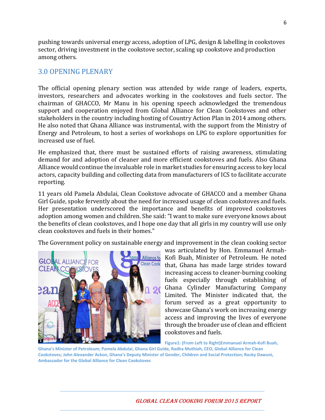pushing towards universal energy access, adoption of LPG, design & labelling in cookstoves sector, driving investment in the cookstove sector, scaling up cookstove and production among others.

#### <span id="page-5-0"></span>3.0 OPENING PLENARY

The official opening plenary section was attended by wide range of leaders, experts, investors, researchers and advocates working in the cookstoves and fuels sector. The chairman of GHACCO, Mr Manu in his opening speech acknowledged the tremendous support and cooperation enjoyed from Global Alliance for Clean Cookstoves and other stakeholders in the country including hosting of Country Action Plan in 2014 among others. He also noted that Ghana Alliance was instrumental, with the support from the Ministry of Energy and Petroleum, to host a series of workshops on LPG to explore opportunities for increased use of fuel.

He emphasized that, there must be sustained efforts of raising awareness, stimulating demand for and adoption of cleaner and more efficient cookstoves and fuels. Also Ghana Alliance would continue the invaluable role in market studies for ensuring access to key local actors, capacity building and collecting data from manufacturers of ICS to facilitate accurate reporting.

11 years old Pamela Abdulai, Clean Cookstove advocate of GHACCO and a member Ghana Girl Guide, spoke fervently about the need for increased usage of clean cookstoves and fuels. Her presentation underscored the importance and benefits of improved cookstoves adoption among women and children. She said: "I want to make sure everyone knows about the benefits of clean cookstoves, and I hope one day that all girls in my country will use only clean cookstoves and fuels in their homes."

The Government policy on sustainable energy and improvement in the clean cooking sector



was articulated by Hon. Emmanuel Armah-Kofi Buah, Minister of Petroleum. He noted that, Ghana has made large strides toward increasing access to cleaner-burning cooking fuels especially through establishing of Ghana Cylinder Manufacturing Company Limited. The Minister indicated that, the forum served as a great opportunity to showcase Ghana's work on increasing energy access and improving the lives of everyone through the broader use of clean and efficient cookstoves and fuels.

**Figure1: (From Left to Right)Emmanuel Armah-Kofi Buah, Ghana's Minister of Petroleum; Pamela Abdulai, Ghana Girl Guide, Radha Muthiah, CEO, Global Alliance for Clean Cookstoves; John Alexander Ackon, Ghana's Deputy Minister of Gender, Children and Social Protection; Rocky Dawuni, Ambassador for the Global Alliance for Clean Cookstoves**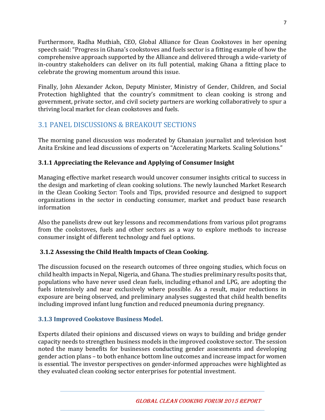Furthermore, Radha Muthiah, CEO, Global Alliance for Clean Cookstoves in her opening speech said: "Progress in Ghana's cookstoves and fuels sector is a fitting example of how the comprehensive approach supported by the Alliance and delivered through a wide-variety of in-country stakeholders can deliver on its full potential, making Ghana a fitting place to celebrate the growing momentum around this issue.

Finally, John Alexander Ackon, Deputy Minister, Ministry of Gender, Children, and Social Protection highlighted that the country's commitment to clean cooking is strong and government, private sector, and civil society partners are working collaboratively to spur a thriving local market for clean cookstoves and fuels.

# <span id="page-6-0"></span>3.1 PANEL DISCUSSIONS & BREAKOUT SECTIONS

The morning panel discussion was moderated by Ghanaian journalist and television host Anita Erskine and lead discussions of experts on "Accelerating Markets. Scaling Solutions."

## <span id="page-6-1"></span>**3.1.1 Appreciating the Relevance and Applying of Consumer Insight**

Managing effective market research would uncover consumer insights critical to success in the design and marketing of clean cooking solutions. The newly launched Market Research in the Clean Cooking Sector: Tools and Tips, provided resource and designed to support organizations in the sector in conducting consumer, market and product base research information

Also the panelists drew out key lessons and recommendations from various pilot programs from the cookstoves, fuels and other sectors as a way to explore methods to increase consumer insight of different technology and fuel options.

## <span id="page-6-2"></span>**3.1.2 Assessing the Child Health Impacts of Clean Cooking.**

The discussion focused on the research outcomes of three ongoing studies, which focus on child health impacts in Nepal, Nigeria, and Ghana. The studies preliminary results posits that, populations who have never used clean fuels, including ethanol and LPG, are adopting the fuels intensively and near exclusively where possible. As a result, major reductions in exposure are being observed, and preliminary analyses suggested that child health benefits including improved infant lung function and reduced pneumonia during pregnancy.

## <span id="page-6-3"></span>**3.1.3 Improved Cookstove Business Model.**

Experts dilated their opinions and discussed views on ways to building and bridge gender capacity needs to strengthen business models in the improved cookstove sector. The session noted the many benefits for businesses conducting gender assessments and developing gender action plans – to both enhance bottom line outcomes and increase impact for women is essential. The investor perspectives on gender-informed approaches were highlighted as they evaluated clean cooking sector enterprises for potential investment.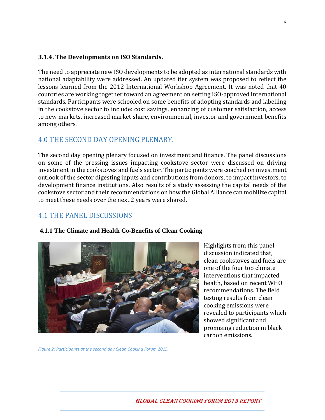#### <span id="page-7-0"></span>**3.1.4. The Developments on ISO Standards.**

The need to appreciate new ISO developments to be adopted as international standards with national adaptability were addressed. An updated tier system was proposed to reflect the lessons learned from the 2012 International Workshop Agreement. It was noted that 40 countries are working together toward an agreement on setting ISO-approved international standards. Participants were schooled on some benefits of adopting standards and labelling in the cookstove sector to include: cost savings, enhancing of customer satisfaction, access to new markets, increased market share, environmental, investor and government benefits among others.

#### <span id="page-7-1"></span>4.0 THE SECOND DAY OPENING PLENARY.

The second day opening plenary focused on investment and finance. The panel discussions on some of the pressing issues impacting cookstove sector were discussed on driving investment in the cookstoves and fuels sector. The participants were coached on investment outlook of the sector digesting inputs and contributions from donors, to impact investors, to development finance institutions. Also results of a study assessing the capital needs of the cookstove sector and their recommendations on how the Global Alliance can mobilize capital to meet these needs over the next 2 years were shared.

## <span id="page-7-2"></span>4.1 THE PANEL DISCUSSIONS

#### <span id="page-7-3"></span>**4.1.1 The Climate and Health Co-Benefits of Clean Cooking**



Highlights from this panel discussion indicated that, clean cookstoves and fuels are one of the four top climate interventions that impacted health, based on recent WHO recommendations. The field testing results from clean cooking emissions were revealed to participants which showed significant and promising reduction in black carbon emissions.

*Figure 2: Participants at the second day Clean Cooking Forum 2015.*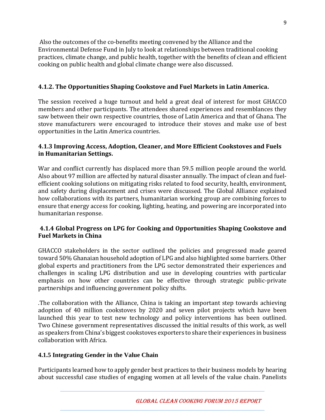Also the outcomes of the co-benefits meeting convened by the Alliance and the Environmental Defense Fund in July to look at relationships between traditional cooking practices, climate change, and public health, together with the benefits of clean and efficient cooking on public health and global climate change were also discussed.

#### <span id="page-8-0"></span>**4.1.2. The Opportunities Shaping Cookstove and Fuel Markets in Latin America.**

The session received a huge turnout and held a great deal of interest for most GHACCO members and other participants. The attendees shared experiences and resemblances they saw between their own respective countries, those of Latin America and that of Ghana. The stove manufacturers were encouraged to introduce their stoves and make use of best opportunities in the Latin America countries.

#### <span id="page-8-1"></span>**4.1.3 Improving Access, Adoption, Cleaner, and More Efficient Cookstoves and Fuels in Humanitarian Settings.**

War and conflict currently has displaced more than 59.5 million people around the world. Also about 97 million are affected by natural disaster annually. The impact of clean and fuelefficient cooking solutions on mitigating risks related to food security, health, environment, and safety during displacement and crises were discussed. The Global Alliance explained how collaborations with its partners, humanitarian working group are combining forces to ensure that energy access for cooking, lighting, heating, and powering are incorporated into humanitarian response.

#### <span id="page-8-2"></span>**4.1.4 Global Progress on LPG for Cooking and Opportunities Shaping Cookstove and Fuel Markets in China**

GHACCO stakeholders in the sector outlined the policies and progressed made geared toward 50% Ghanaian household adoption of LPG and also highlighted some barriers. Other global experts and practitioners from the LPG sector demonstrated their experiences and challenges in scaling LPG distribution and use in developing countries with particular emphasis on how other countries can be effective through strategic public-private partnerships and influencing government policy shifts.

.The collaboration with the Alliance, China is taking an important step towards achieving adoption of 40 million cookstoves by 2020 and seven pilot projects which have been launched this year to test new technology and policy interventions has been outlined. Two Chinese government representatives discussed the initial results of this work, as well as speakers from China's biggest cookstoves exporters to share their experiences in business collaboration with Africa.

#### <span id="page-8-3"></span>**4.1.5 Integrating Gender in the Value Chain**

Participants learned how to apply gender best practices to their business models by hearing about successful case studies of engaging women at all levels of the value chain. Panelists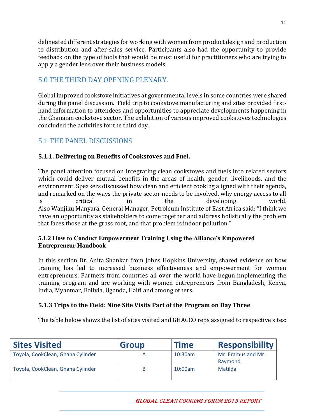delineated different strategies for working with women from product design and production to distribution and after-sales service. Participants also had the opportunity to provide feedback on the type of tools that would be most useful for practitioners who are trying to apply a gender lens over their business models.

## <span id="page-9-0"></span>5.0 THE THIRD DAY OPENING PLENARY.

Global improved cookstove initiatives at governmental levels in some countries were shared during the panel discussion. Field trip to cookstove manufacturing and sites provided firsthand information to attendees and opportunities to appreciate developments happening in the Ghanaian cookstove sector. The exhibition of various improved cookstoves technologies concluded the activities for the third day.

# <span id="page-9-1"></span>5.1 THE PANEL DISCUSSIONS

#### <span id="page-9-2"></span>**5.1.1. Delivering on Benefits of Cookstoves and Fuel.**

The panel attention focused on integrating clean cookstoves and fuels into related sectors which could deliver mutual benefits in the areas of health, gender, livelihoods, and the environment. Speakers discussed how clean and efficient cooking aligned with their agenda, and remarked on the ways the private sector needs to be involved, why energy access to all is critical in the developing world. Also Wanjiku Manyara, General Manager, Petroleum Institute of East Africa said: "I think we have an opportunity as stakeholders to come together and address holistically the problem that faces those at the grass root, and that problem is indoor pollution."

#### <span id="page-9-3"></span>**5.1.2 How to Conduct Empowerment Training Using the Alliance's Empowered Entrepreneur Handbook**

In this section Dr. Anita Shankar from Johns Hopkins University, shared evidence on how training has led to increased business effectiveness and empowerment for women entrepreneurs. Partners from countries all over the world have begun implementing the training program and are working with women entrepreneurs from Bangladesh, Kenya, India, Myanmar, Bolivia, Uganda, Haiti and among others.

#### <span id="page-9-4"></span>**5.1.3 Trips to the Field: Nine Site Visits Part of the Program on Day Three**

The table below shows the list of sites visited and GHACCO reps assigned to respective sites:

| <b>Sites Visited</b>              | <b>Group</b> | <b>Time</b> | <b>Responsibility</b>         |
|-----------------------------------|--------------|-------------|-------------------------------|
| Toyola, CookClean, Ghana Cylinder |              | 10:30am     | Mr. Eramus and Mr.<br>Raymond |
| Toyola, CookClean, Ghana Cylinder |              | 10:00am     | Matilda                       |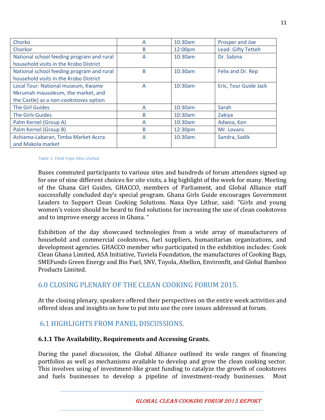| Chorko                                    | А | 10:30am | Prosper and Joe       |
|-------------------------------------------|---|---------|-----------------------|
| Chorkor                                   | B | 12:00pm | Lead- Gifty Tetteh    |
| National school feeding program and rural | А | 10:30am | Dr. Sabina            |
| household visits in the Krobo District    |   |         |                       |
| National school feeding program and rural | B | 10:30am | Felix and Dr. Rep     |
| household visits in the Krobo District    |   |         |                       |
| Local Tour: National museum, Kwame        | A | 10:30am | Eric, Tour Guide Jack |
| Nkrumah mausoleum, the market, and        |   |         |                       |
| the Castle) as a non-cookstoves option    |   |         |                       |
| <b>The Girl Guides</b>                    | A | 10:30am | Sarah                 |
| The Girls Guides                          | B | 10:30am | Zakiya                |
| Palm Kernel (Group A)                     | A | 10:30am | Adwoa, Ken            |
| Palm Kernel (Group B)                     | B | 12:30pm | Mr. Lovans            |
| Ashiama-Labaran, Timba Market Accra       | A | 10:30am | Sandra, Sadik         |
| and Makola market                         |   |         |                       |

#### *Table 1: Field Tripe Sites Visited*

Buses commuted participants to various sites and hundreds of forum attendees signed up for one of nine different choices for site visits, a big highlight of the week for many. Meeting of the Ghana Girl Guides, GHACCO, members of Parliament, and Global Alliance staff successfully concluded day's special program. Ghana Girls Guide encourages Government Leaders to Support Clean Cooking Solutions. Nana Oye Lithur, said: "Girls and young women's voices should be heard to find solutions for increasing the use of clean cookstoves and to improve energy access in Ghana. "

Exhibition of the day showcased technologies from a wide array of manufacturers of household and commercial cookstoves, fuel suppliers, humanitarian organizations, and development agencies. GHACCO member who participated in the exhibition includes: Cook Clean Ghana Limited, ASA Initiative, Tuviela Foundation, the manufactures of Cooking Bags, SMEFunds Green Energy and Bio Fuel, SNV, Toyola, Abellon, Environfit, and Global Bamboo Products Limited.

## <span id="page-10-0"></span>6.0 CLOSING PLENARY OF THE CLEAN COOKING FORUM 2015.

At the closing plenary, speakers offered their perspectives on the entire week activities and offered ideas and insights on how to put into use the core issues addressed at forum.

## <span id="page-10-1"></span>6.1 HIGHLIGHTS FROM PANEL DISCUSSIONS.

#### <span id="page-10-2"></span>**6.1.1 The Availability, Requirements and Accessing Grants.**

During the panel discussion, the Global Alliance outlined its wide ranges of financing portfolios as well as mechanisms available to develop and grow the clean cooking sector. This involves using of investment-like grant funding to catalyze the growth of cookstoves and fuels businesses to develop a pipeline of investment-ready businesses. Most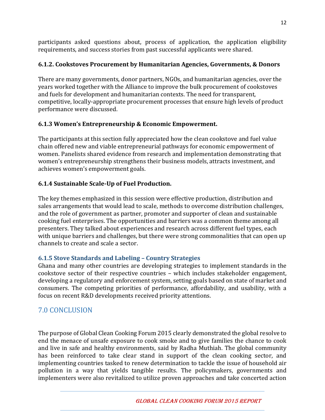participants asked questions about, process of application, the application eligibility requirements, and success stories from past successful applicants were shared.

#### <span id="page-11-0"></span>**6.1.2. Cookstoves Procurement by Humanitarian Agencies, Governments, & Donors**

There are many governments, donor partners, NGOs, and humanitarian agencies, over the years worked together with the Alliance to improve the bulk procurement of cookstoves and fuels for development and humanitarian contexts. The need for transparent, competitive, locally-appropriate procurement processes that ensure high levels of product performance were discussed.

## <span id="page-11-1"></span>**6.1.3 Women's Entrepreneurship & Economic Empowerment.**

The participants at this section fully appreciated how the clean cookstove and fuel value chain offered new and viable entrepreneurial pathways for economic empowerment of women. Panelists shared evidence from research and implementation demonstrating that women's entrepreneurship strengthens their business models, attracts investment, and achieves women's empowerment goals.

## <span id="page-11-2"></span>**6.1.4 Sustainable Scale-Up of Fuel Production.**

The key themes emphasized in this session were effective production, distribution and sales arrangements that would lead to scale, methods to overcome distribution challenges, and the role of government as partner, promoter and supporter of clean and sustainable cooking fuel enterprises. The opportunities and barriers was a common theme among all presenters. They talked about experiences and research across different fuel types, each with unique barriers and challenges, but there were strong commonalities that can open up channels to create and scale a sector.

#### <span id="page-11-3"></span>**6.1.5 Stove Standards and Labeling – Country Strategies**

Ghana and many other countries are developing strategies to implement standards in the cookstove sector of their respective countries – which includes stakeholder engagement, developing a regulatory and enforcement system, setting goals based on state of market and consumers. The competing priorities of performance, affordability, and usability, with a focus on recent R&D developments received priority attentions.

# <span id="page-11-4"></span>7.0 CONCLUSION

The purpose of Global Clean Cooking Forum 2015 clearly demonstrated the global resolve to end the menace of unsafe exposure to cook smoke and to give families the chance to cook and live in safe and healthy environments, said by Radha Muthiah. The global community has been reinforced to take clear stand in support of the clean cooking sector, and implementing countries tasked to renew determination to tackle the issue of household air pollution in a way that yields tangible results. The policymakers, governments and implementers were also revitalized to utilize proven approaches and take concerted action